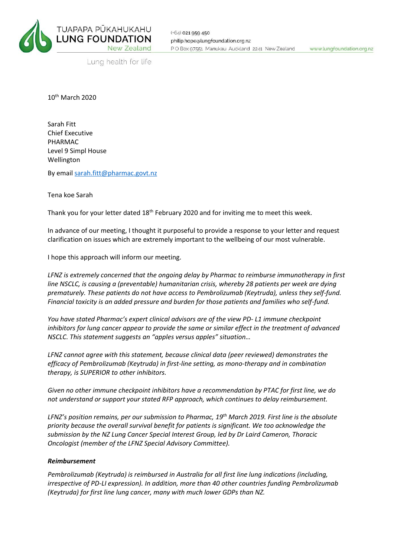

Lung health for life

10<sup>th</sup> March 2020

Sarah Fitt Chief Executive PHARMAC Level 9 Simpl House Wellington

By emai[l sarah.fitt@pharmac.govt.nz](mailto:sarah.fitt@pharmac.govt.nz)

Tena koe Sarah

Thank you for your letter dated 18<sup>th</sup> February 2020 and for inviting me to meet this week.

In advance of our meeting, I thought it purposeful to provide a response to your letter and request clarification on issues which are extremely important to the wellbeing of our most vulnerable.

I hope this approach will inform our meeting.

*LFNZ is extremely concerned that the ongoing delay by Pharmac to reimburse immunotherapy in first line NSCLC, is causing a (preventable) humanitarian crisis, whereby 28 patients per week are dying prematurely. These patients do not have access to Pembrolizumab (Keytruda), unless they self-fund. Financial toxicity is an added pressure and burden for those patients and families who self-fund.* 

*You have stated Pharmac's expert clinical advisors are of the view PD- L1 immune checkpoint inhibitors for lung cancer appear to provide the same or similar effect in the treatment of advanced NSCLC. This statement suggests an "apples versus apples" situation…* 

*LFNZ cannot agree with this statement, because clinical data (peer reviewed) demonstrates the efficacy of Pembrolizumab (Keytruda) in first-line setting, as mono-therapy and in combination therapy, is SUPERIOR to other inhibitors.* 

*Given no other immune checkpoint inhibitors have a recommendation by PTAC for first line, we do not understand or support your stated RFP approach, which continues to delay reimbursement.* 

*LFNZ's position remains, per our submission to Pharmac, 19th March 2019. First line is the absolute priority because the overall survival benefit for patients is significant. We too acknowledge the submission by the NZ Lung Cancer Special Interest Group, led by Dr Laird Cameron, Thoracic Oncologist (member of the LFNZ Special Advisory Committee).*

## *Reimbursement*

*Pembrolizumab (Keytruda) is reimbursed in Australia for all first line lung indications (including, irrespective of PD-LI expression). In addition, more than 40 other countries funding Pembrolizumab (Keytruda) for first line lung cancer, many with much lower GDPs than NZ.*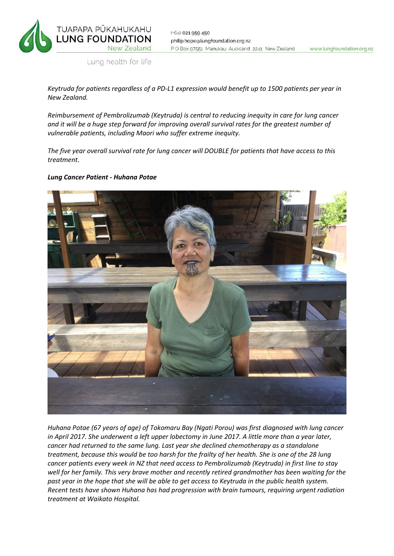

www.lungfoundation.org.nz

Lung health for life

*Keytruda for patients regardless of a PD-L1 expression would benefit up to 1500 patients per year in New Zealand.*

*Reimbursement of Pembrolizumab (Keytruda) is central to reducing inequity in care for lung cancer and it will be a huge step forward for improving overall survival rates for the greatest number of vulnerable patients, including Maori who suffer extreme inequity.* 

*The five year overall survival rate for lung cancer will DOUBLE for patients that have access to this treatment.*

## *Lung Cancer Patient - Huhana Potae*



*Huhana Potae (67 years of age) of Tokomaru Bay (Ngati Porou) was first diagnosed with lung cancer in April 2017. She underwent a left upper lobectomy in June 2017. A little more than a year later, cancer had returned to the same lung. Last year she declined chemotherapy as a standalone treatment, because this would be too harsh for the frailty of her health. She is one of the 28 lung cancer patients every week in NZ that need access to Pembrolizumab (Keytruda) in first line to stay well for her family. This very brave mother and recently retired grandmother has been waiting for the past year in the hope that she will be able to get access to Keytruda in the public health system. Recent tests have shown Huhana has had progression with brain tumours, requiring urgent radiation treatment at Waikato Hospital.*